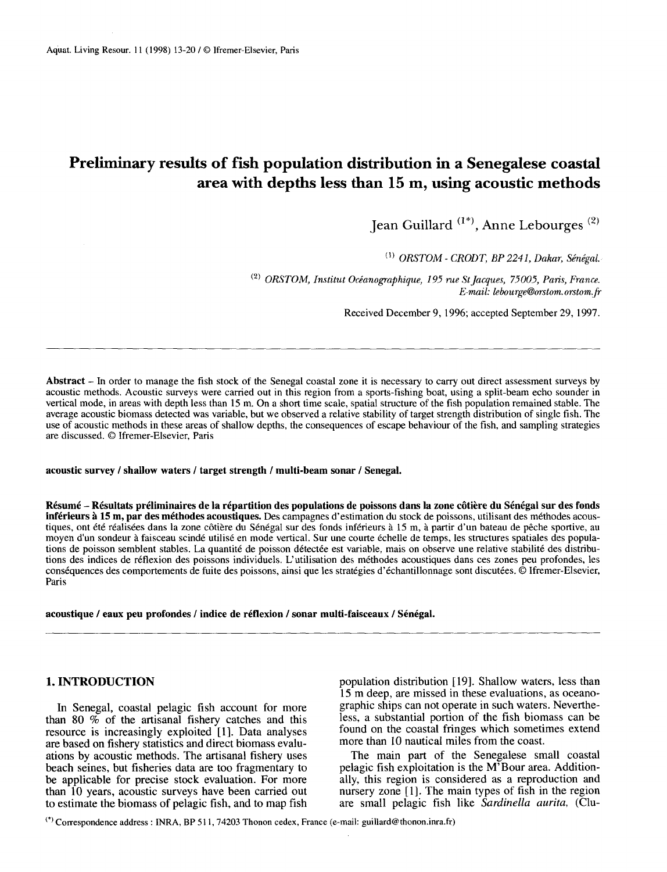# **Preliminary results of fish population distribution in a Senegalese coastal area with depths less than 15 m, using acoustic methods**

**Jean Guillard (1\*) Anne Lebourges (2)**

**(1)** *ORSTOM - CRODT, BP 2241, Dakar, Sénégal.*

**(2)** *ORSTOM, Institut Océanographique, 195 rue St Jacques, 75005, Paris, France. E-mail: [lebourge@orstom.orstom.fr](mailto:lebourge@orslom.orstom.fr)*

Received December 9, 1996; accepted September 29, 1997.

**Abstract** - In order to manage the fish stock of the Senegal coastal zone it is necessary to carry out direct assessment surveys by acoustic methods. Acoustic surveys were carried out in this region from a sports-fishing boat, using a split-beam echo sounder in vertical mode, in areas with depth less than 15 m. On a short time scale, spatial structure of the fish population remained stable. The average acoustic biomass detected was variable, but we observed a relative stability of target strength distribution of single fish. The use of acoustic methods in these areas of shallow depths, the consequences of escape behaviour of the fish, and sampling strategies are discussed. © Ifremer-Elsevier, Paris

**acoustic survey / shallow waters / target strength / multi-beam sonar / Senegal.**

**Résumé - Résultats préliminaires de la répartition des populations de poissons dans la zone côtière du Sénégal sur des fonds inférieurs à 15 m, par des méthodes acoustiques.** Des campagnes d'estimation du stock de poissons, utilisant des méthodes acoustiques, ont été réalisées dans la zone côtière du Sénégal sur des fonds inférieurs à 15 m, à partir d'un bateau de pêche sportive, au moyen d'un sondeur à faisceau scindé utilisé en mode vertical. Sur une courte échelle de temps, les structures spatiales des populations de poisson semblent stables. La quantité de poisson détectée est variable, mais on observe une relative stabilité des distributions des indices de réflexion des poissons individuels. L'utilisation des méthodes acoustiques dans ces zones peu profondes, les conséquences des comportements de fuite des poissons, ainsi que les stratégies d'échantillonnage sont discutées. © Ifremer-Elsevier, Paris

**acoustique / eaux peu profondes / indice de réflexion / sonar multi-faisceaux / Sénégal.**

# **1. INTRODUCTION**

In Senegal, coastal pelagic fish account for more than 80 *%* of the artisanal fishery catches and this resource is increasingly exploited [1], Data analyses are based on fishery statistics and direct biomass evaluations by acoustic methods. The artisanal fishery uses beach seines, but fisheries data are too fragmentary to be applicable for precise stock evaluation. For more than 10 years, acoustic surveys have been carried out to estimate the biomass of pelagic fish, and to map fish

population distribution [19]. Shallow waters, less than 15 m deep, are missed in these evaluations, as oceanographic ships can not operate in such waters. Nevertheless, a substantial portion of the fish biomass can be found on the coastal fringes which sometimes extend more than 10 nautical miles from the coast.

The main part of the Senegalese small coastal pelagic fish exploitation is the M'Bour area. Additionally, this region is considered as a reproduction and nursery zone [1]. The main types of fish in the region are small pelagic fish like *Sardinella aurita,* (Clu-

 $(*)$  Correspondence address : INRA, BP 511, 74203 Thonon cedex, France (e-mail: [guillard@thonon.inra.fr](mailto:guillard@thonon.inra.fr))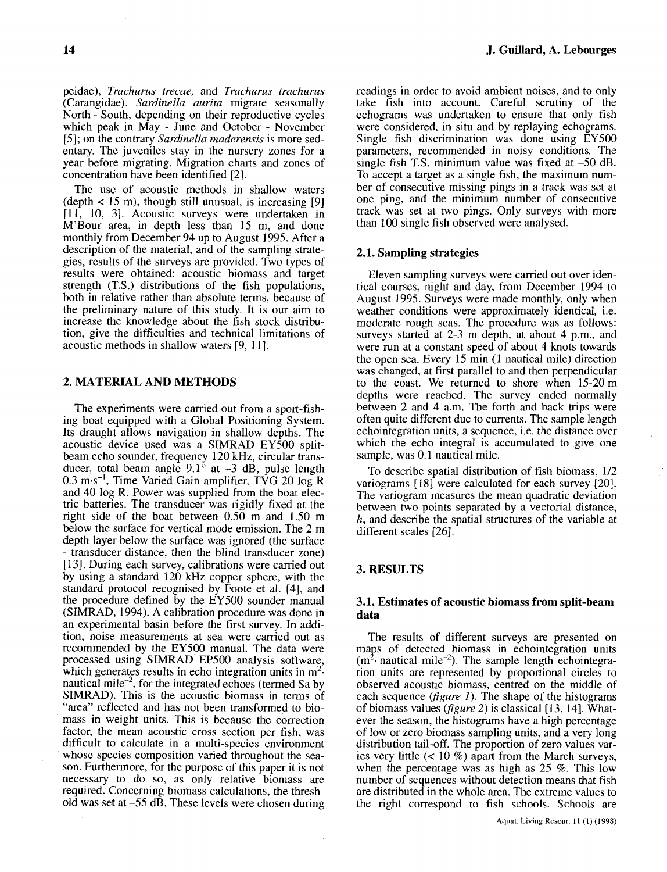peidae), *Trachurus trecae,* and *Trachurus trachurus* (Carangidae). *Sardinella aurita* migrate seasonally North - South, depending on their reproductive cycles which peak in May - June and October - November [5]; on the contrary *Sardinella maderensis* is more sedentary. The juveniles stay in the nursery zones for a year before migrating. Migration charts and zones of concentration have been identified [2].

The use of acoustic methods in shallow waters  $(\text{depth} < 15 \text{ m})$ , though still unusual, is increasing [9] [11, 10, 3], Acoustic surveys were undertaken in M'Bour area, in depth less than 15 m, and done monthly from December 94 up to August 1995. After a description of the material, and of the sampling strategies, results of the surveys are provided. Two types of results were obtained: acoustic biomass and target strength (T.S.) distributions of the fish populations, both in relative rather than absolute terms, because of the preliminary nature of this study. It is our aim to increase the knowledge about the fish stock distribution, give the difficulties and technical limitations of acoustic methods in shallow waters [9, 11].

# **2. MATERIAL AND METHODS**

The experiments were carried out from a sport-fishing boat equipped with a Global Positioning System. Its draught allows navigation in shallow depths. The acoustic device used was a SIMRAD EY500 splitbeam echo sounder, frequency 120 kHz, circular transducer, total beam angle  $9.1^\circ$  at  $-3$  dB, pulse length  $0.3 \text{ m} \cdot \text{s}^{-1}$ , Time Varied Gain amplifier, TVG 20 log R and 40 log R. Power was supplied from the boat electric batteries. The transducer was rigidly fixed at the right side of the boat between 0.50 m and 1.50 m below the surface for vertical mode emission. The 2 m depth layer below the surface was ignored (the surface - transducer distance, then the blind transducer zone) [13]. During each survey, calibrations were carried out by using a standard 120 kHz copper sphere, with the standard protocol recognised by Foote et al. [4], and the procedure defined by the EY500 sounder manual (SIMRAD, 1994). A calibration procedure was done in an experimental basin before the first survey. In addition, noise measurements at sea were carried out as recommended by the EY500 manual. The data were processed using SIMRAD EP500 analysis software, which generates results in echo integration units in  $m<sup>2</sup>$ . nautical mile<sup>-2</sup>, for the integrated echoes (termed Sa by SIMRAD). This is the acoustic biomass in terms of "area" reflected and has not been transformed to biomass in weight units. This is because the correction factor, the mean acoustic cross section per fish, was difficult to calculate in a multi-species environment whose species composition varied throughout the season. Furthermore, for the purpose of this paper it is not necessary to do so, as only relative biomass are required. Concerning biomass calculations, the threshold was set at  $-55$  dB. These levels were chosen during

readings in order to avoid ambient noises, and to only take fish into account. Careful scrutiny of the echograms was undertaken to ensure that only fish were considered, in situ and by replaying echograms. Single fish discrimination was done using EY500 parameters, recommended in noisy conditions. The single fish T.S. minimum value was fixed at  $-50$  dB. To accept a target as a single fish, the maximum number of consecutive missing pings in a track was set at one ping, and the minimum number of consecutive track was set at two pings. Only surveys with more than 100 single fish observed were analysed.

# **2.1. Sampling strategies**

Eleven sampling surveys were carried out over identical courses, night and day, from December 1994 to August 1995. Surveys were made monthly, only when weather conditions were approximately identical, i.e. moderate rough seas. The procedure was as follows: surveys started at 2-3 m depth, at about 4 p.m., and were run at a constant speed of about 4 knots towards the open sea. Every 15 min (1 nautical mile) direction was changed, at first parallel to and then perpendicular to the coast. We returned to shore when 15-20 m depths were reached. The survey ended normally between 2 and 4 a.m. The forth and back trips were often quite different due to currents. The sample length echointegration units, a sequence, i.e. the distance over which the echo integral is accumulated to give one sample, was 0.1 nautical mile.

To describe spatial distribution of fish biomass, 1/2 variograms [18] were calculated for each survey [20], The variogram measures the mean quadratic deviation between two points separated by a vectorial distance, *h,* and describe the spatial structures of the variable at different scales [26],

# **3. RESULTS**

#### **3.1. Estimates of acoustic biomass from split-beam data**

The results of different surveys are presented on maps of detected biomass in echointegration units  $(m<sup>2</sup>$  nautical mile<sup>-2</sup>). The sample length echointegration units are represented by proportional circles to observed acoustic biomass, centred on the middle of each sequence *(figure 1).* The shape of the histograms of biomass values *(figure 2)* is classical [13, 14]. Whatever the season, the histograms have a high percentage of low or zero biomass sampling units, and a very long distribution tail-off. The proportion of zero values varies very little  $(< 10\%$ ) apart from the March surveys, when the percentage was as high as 25 *%.* This low number of sequences without detection means that fish are distributed in the whole area. The extreme values to the right correspond to fish schools. Schools are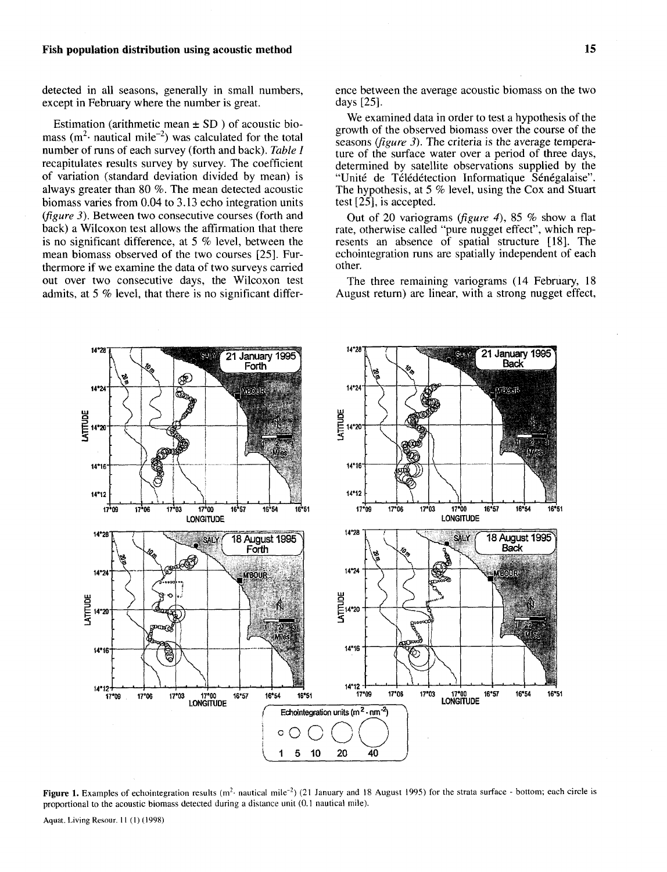# **Fish population distribution using acoustic method 15**

detected in all seasons, generally in small numbers, except in February where the number is great.

Estimation (arithmetic mean  $\pm$  SD) of acoustic biomass  $(m^2$  nautical mile<sup>-2</sup>) was calculated for the total number of runs of each survey (forth and back). *Table I* recapitulates results survey by survey. The coefficient of variation (standard deviation divided by mean) is always greater than 80 %. The mean detected acoustic biomass varies from 0.04 to 3.13 echo integration units *(figure 3).* Between two consecutive courses (forth and back) a Wilcoxon test allows the affirmation that there is no significant difference, at 5 % level, between the mean biomass observed of the two courses [25]. Furthermore if we examine the data of two surveys carried out over two consecutive days, the Wilcoxon test admits, at 5 % level, that there is no significant difference between the average acoustic biomass on the two days [25].

We examined data in order to test a hypothesis of the growth of the observed biomass over the course of the seasons *(figure 3).* The criteria is the average temperature of the surface water over a period of three days, determined by satellite observations supplied by the "Unité de Télédétection Informatique Sénégalaise". The hypothesis, at 5 % level, using the Cox and Stuart test [25], is accepted.

Out of 20 variograms *(figure 4),* 85 *%* show a flat rate, otherwise called "pure nugget effect", which represents an absence of spatial structure [18]. The echointegration runs are spatially independent of each other.

The three remaining variograms (14 February, 18 August return) are linear, with a strong nugget effect,



Figure 1. Examples of echointegration results (m<sup>2</sup>. nautical mile<sup>-2</sup>) (21 January and 18 August 1995) for the strata surface - bottom; each circle is proportional to the acoustic biomass detected during a distance unit (0.1 nautical mile).

Aquat. Living Resour. 11 (1) (1998)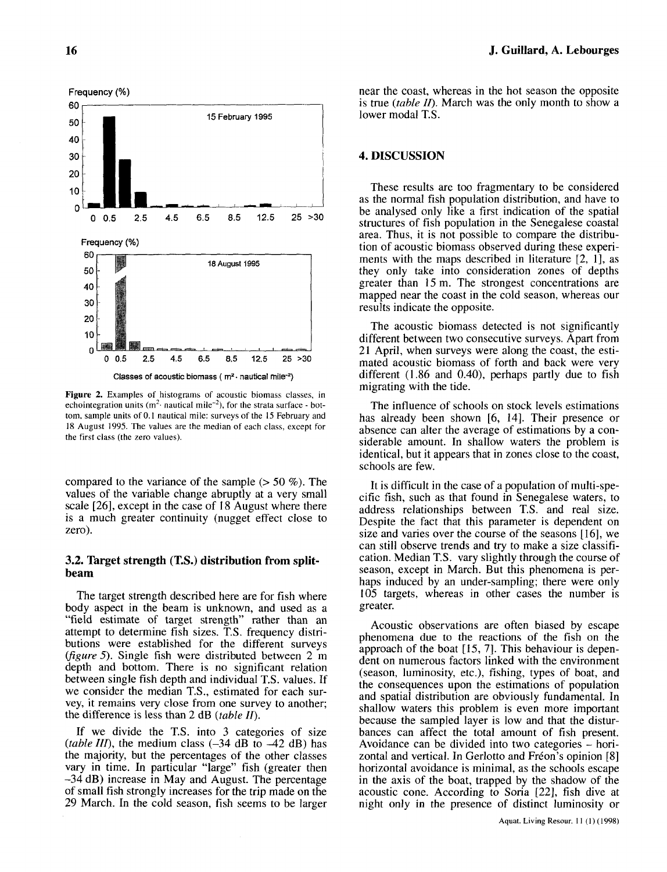

**Figure 2.** Examples of histograms of acoustic biomass classes, in echointegration units ( $m^2$ - nautical mile<sup>-2</sup>), for the strata surface - bottom, sample units of 0.1 nautical mile: surveys of the 15 February and 18 August 1995. The values are the median of each class, except for the first class (the zero values).

compared to the variance of the sample  $(> 50 \%)$ . The values of the variable change abruptly at a very small scale [26], except in the case of 18 August where there is a much greater continuity (nugget effect close to zero).

# **3.2. Target strength (T.S.) distribution from splitbeam**

The target strength described here are for fish where body aspect in the beam is unknown, and used as a "field estimate of target strength" rather than an attempt to determine fish sizes. T.S. frequency distributions were established for the different surveys *(figure* 5). Single fish were distributed between 2 m depth and bottom. There is no significant relation between single fish depth and individual T.S. values. If we consider the median T.S., estimated for each survey, it remains very close from one survey to another; the difference is less than 2 dB *(table II).*

If we divide the T.S. into 3 categories of size *(table III),* the medium class  $(-34$  dB to  $-42$  dB) has the majority, but the percentages of the other classes vary in time. In particular "large" fish (greater then -34 dB) increase in May and August. The percentage of small fish strongly increases for the trip made on the 29 March. In the cold season, fish seems to be larger near the coast, whereas in the hot season the opposite is true *(table II).* March was the only month to show a lower modal T.S.

#### **4. DISCUSSION**

These results are too fragmentary to be considered as the normal fish population distribution, and have to be analysed only like a first indication of the spatial structures of fish population in the Senegalese coastal area. Thus, it is not possible to compare the distribution of acoustic biomass observed during these experiments with the maps described in literature [2, 1], as they only take into consideration zones of depths greater than 15 m. The strongest concentrations are mapped near the coast in the cold season, whereas our results indicate the opposite.

The acoustic biomass detected is not significantly different between two consecutive surveys. Apart from 21 April, when surveys were along the coast, the estimated acoustic biomass of forth and back were very different (1.86 and 0.40), perhaps partly due to fish migrating with the tide.

The influence of schools on stock levels estimations has already been shown [6, 14]. Their presence or absence can alter the average of estimations by a considerable amount. In shallow waters the problem is identical, but it appears that in zones close to the coast, schools are few.

It is difficult in the case of a population of multi-specific fish, such as that found in Senegalese waters, to address relationships between T.S. and real size. Despite the fact that this parameter is dependent on size and varies over the course of the seasons [16], we can still observe trends and try to make a size classification. Median T.S. vary slightly through the course of season, except in March. But this phenomena is perhaps induced by an under-sampling; there were only 105 targets, whereas in other cases the number is greater.

Acoustic observations are often biased by escape phenomena due to the reactions of the fish on the approach of the boat [15, 7], This behaviour is dependent on numerous factors linked with the environment (season, luminosity, etc.), fishing, types of boat, and the consequences upon the estimations of population and spatial distribution are obviously fundamental. In shallow waters this problem is even more important because the sampled layer is low and that the disturbances can affect the total amount of fish present. Avoidance can be divided into two categories - horizontal and vertical. In Gerlotto and Fréon's opinion [8] horizontal avoidance is minimal, as the schools escape in the axis of the boat, trapped by the shadow of the acoustic cone. According to Soria [22], fish dive at night only in the presence of distinct luminosity or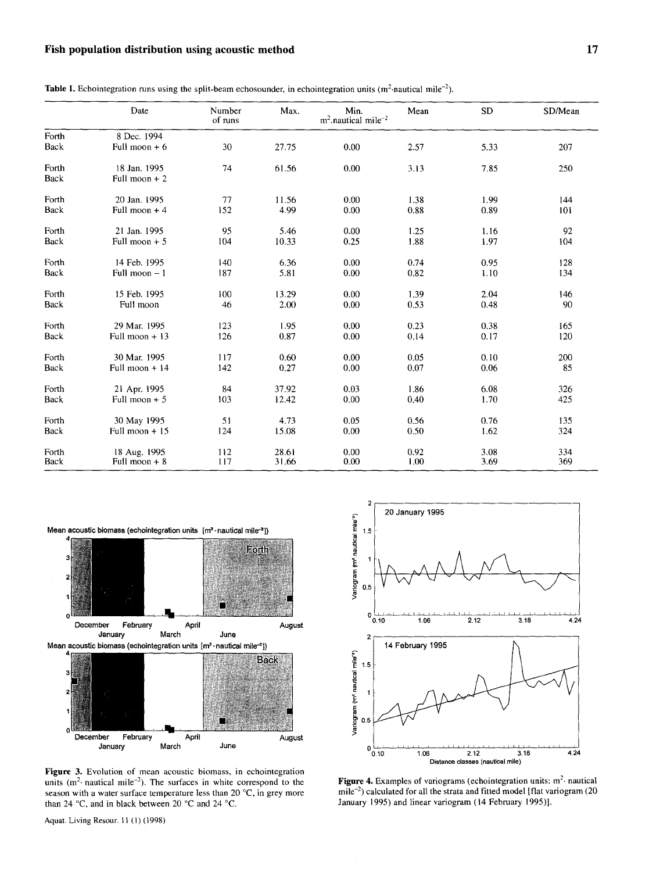# **Fish population distribution using acoustic method 17**

|             | Date            | Number<br>of runs | Max.  | Min.<br>$m^2$ nautical mile <sup>-2</sup> | Mean | <b>SD</b> | SD/Mean |
|-------------|-----------------|-------------------|-------|-------------------------------------------|------|-----------|---------|
| Forth       | 8 Dec. 1994     |                   |       |                                           |      |           |         |
| Back        | Full moon $+6$  | 30                | 27.75 | 0.00                                      | 2.57 | 5.33      | 207     |
| Forth       | 18 Jan. 1995    | 74                | 61.56 | 0.00                                      | 3.13 | 7.85      | 250     |
| Back        | Full moon $+2$  |                   |       |                                           |      |           |         |
| Forth       | 20 Jan. 1995    | 77                | 11.56 | 0.00                                      | 1.38 | 1.99      | 144     |
| <b>Back</b> | Full moon $+4$  | 152               | 4.99  | 0.00                                      | 0.88 | 0.89      | 101     |
| Forth       | 21 Jan. 1995    | 95                | 5.46  | 0.00                                      | 1.25 | 1.16      | 92      |
| Back        | Full moon $+5$  | 104               | 10.33 | 0.25                                      | 1.88 | 1.97      | 104     |
| Forth       | 14 Feb. 1995    | 140               | 6.36  | 0.00                                      | 0.74 | 0.95      | 128     |
| Back        | Full moon $-1$  | 187               | 5.81  | 0.00                                      | 0.82 | 1.10      | 134     |
| Forth       | 15 Feb. 1995    | 100               | 13.29 | 0.00                                      | 1.39 | 2.04      | 146     |
| Back        | Full moon       | 46                | 2.00  | 0.00                                      | 0.53 | 0.48      | 90      |
| Forth       | 29 Mar. 1995    | 123               | 1.95  | 0.00                                      | 0.23 | 0.38      | 165     |
| Back        | Full moon $+13$ | 126               | 0.87  | 0.00                                      | 0.14 | 0.17      | 120     |
| Forth       | 30 Mar. 1995    | 117               | 0.60  | 0.00                                      | 0.05 | 0.10      | 200     |
| <b>Back</b> | Full moon $+14$ | 142               | 0.27  | 0.00                                      | 0.07 | 0.06      | 85      |
| Forth       | 21 Apr. 1995    | 84                | 37.92 | 0.03                                      | 1.86 | 6.08      | 326     |
| Back        | Full moon $+5$  | 103               | 12.42 | 0.00                                      | 0.40 | 1.70      | 425     |
| Forth       | 30 May 1995     | 51                | 4.73  | 0.05                                      | 0.56 | 0.76      | 135     |
| Back        | Full moon $+15$ | 124               | 15.08 | 0.00                                      | 0.50 | 1.62      | 324     |
| Forth       | 18 Aug. 1995    | 112               | 28.61 | 0.00                                      | 0.92 | 3.08      | 334     |
| Back        | Full moon $+8$  | 117               | 31.66 | 0.00                                      | 1.00 | 3.69      | 369     |

Table I. Echointegration runs using the split-beam echosounder, in echointegration units (m<sup>2</sup>-nautical mile<sup>-2</sup>).



**Figure 3.** Evolution of mean acoustic biomass, in echointegration units  $(m<sup>2</sup>$  nautical mile<sup>-2</sup>). The surfaces in white correspond to the season with a water surface temperature less than 20 °C, in grey more than 24 °C, and in black between 20 °C and 24 °C.

Aquat. Living Resour. 11 (1) (1998)



Figure 4. Examples of variograms (echointegration units: m<sup>2</sup>· nautical mile-2) calculated for all the strata and fitted model [flat variogram (20 January 1995) and linear variogram (14 February 1995)].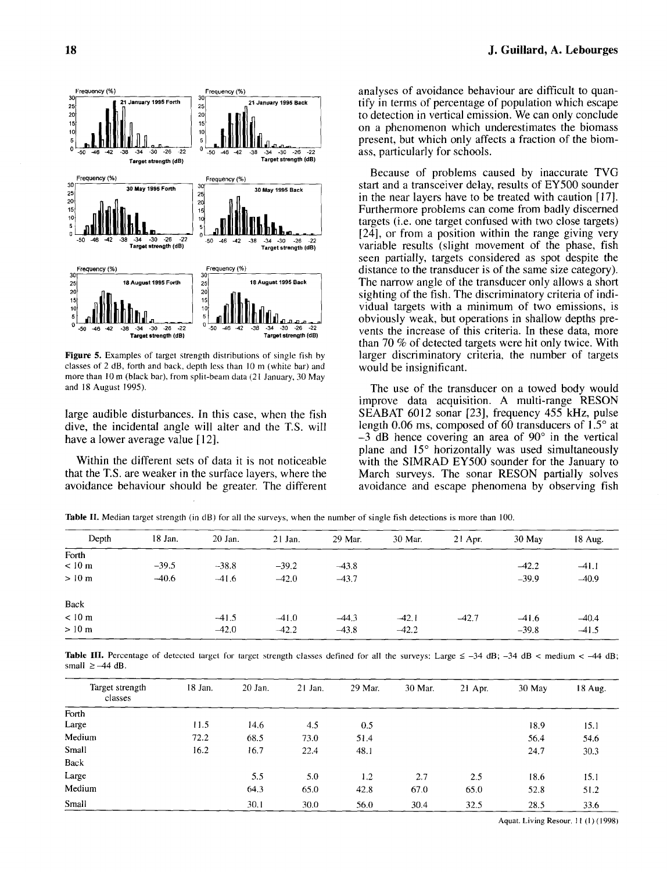

**Figure 5.** Examples of target strength distributions of single fish by classes of 2 dB, forth and back, depth less than 10 m (white bar) and more than 10 m (black bar), from split-beam data (21 January, 30 May and 18 August 1995).

large audible disturbances. In this case, when the fish dive, the incidental angle will alter and the T.S. will have a lower average value [12].

Within the different sets of data it is not noticeable that the T.S. are weaker in the surface layers, where the avoidance behaviour should be greater. The different analyses of avoidance behaviour are difficult to quantify in terms of percentage of population which escape to detection in vertical emission. We can only conclude on a phenomenon which underestimates the biomass present, but which only affects a fraction of the biomass, particularly for schools.

Because of problems caused by inaccurate TVG start and a transceiver delay, results of EY500 sounder in the near layers have to be treated with caution [17]. Furthermore problems can come from badly discerned targets (i.e. one target confused with two close targets) [24], or from a position within the range giving very variable results (slight movement of the phase, fish seen partially, targets considered as spot despite the distance to the transducer is of the same size category). The narrow angle of the transducer only allows a short sighting of the fish. The discriminatory criteria of individual targets with a minimum of two emissions, is obviously weak, but operations in shallow depths prevents the increase of this criteria. In these data, more than 70 % of detected targets were hit only twice. With larger discriminatory criteria, the number of targets would be insignificant.

The use of the transducer on a towed body would improve data acquisition. A multi-range RESON SEABAT 6012 sonar [23], frequency 455 kHz, pulse length 0.06 ms, composed of 60 transducers of 1.5° at  $-3$  dB hence covering an area of  $90^\circ$  in the vertical plane and 15° horizontally was used simultaneously with the SIMRAD EY500 sounder for the January to March surveys. The sonar RESON partially solves avoidance and escape phenomena by observing fish

| Depth           | 18 Jan. | 20 Jan. | $21$ Jan. | 29 Mar. | 30 Mar. | $21$ Apr. | 30 May  | 18 Aug. |
|-----------------|---------|---------|-----------|---------|---------|-----------|---------|---------|
| Forth           |         |         |           |         |         |           |         |         |
| < 10 m          | $-39.5$ | $-38.8$ | $-39.2$   | $-43.8$ |         |           | $-42.2$ | $-41.1$ |
| $>10 \text{ m}$ | $-40.6$ | $-41.6$ | $-42.0$   | $-43.7$ |         |           | $-39.9$ | $-40.9$ |
| <b>Back</b>     |         |         |           |         |         |           |         |         |
| < 10 m          |         | $-41.5$ | $-41.0$   | $-44.3$ | $-42.1$ | $-42.7$   | $-41.6$ | $-40.4$ |
| $>10 \text{ m}$ |         | $-42.0$ | $-42.2$   | $-43.8$ | $-42.2$ |           | $-39.8$ | $-41.5$ |

**Table II.** Median target strength (in dB) for all the surveys, when the number of single fish detections is more than 100.

Table III. Percentage of detected target for target strength classes defined for all the surveys: Large  $\leq -34$  dB;  $-34$  dB < medium < -44 dB; small  $\geq -44$  dB.

| Target strength<br>classes | 18 Jan. | 20 Jan. | $21$ Jan. | 29 Mar. | 30 Mar. | 21 Apr. | 30 May | $18$ Aug. |
|----------------------------|---------|---------|-----------|---------|---------|---------|--------|-----------|
| Forth                      |         |         |           |         |         |         |        |           |
| Large                      | 11.5    | 14.6    | 4.5       | 0.5     |         |         | 18.9   | 15.1      |
| Medium                     | 72.2    | 68.5    | 73.0      | 51.4    |         |         | 56.4   | 54.6      |
| Small                      | 16.2    | 16.7    | 22.4      | 48.1    |         |         | 24.7   | 30.3      |
| Back                       |         |         |           |         |         |         |        |           |
| Large                      |         | 5.5     | 5.0       | 1.2     | 2.7     | 2.5     | 18.6   | 15.1      |
| Medium                     |         | 64.3    | 65.0      | 42.8    | 67.0    | 65.0    | 52.8   | 51.2      |
| Small                      |         | 30.1    | 30.0      | 56.0    | 30.4    | 32.5    | 28.5   | 33.6      |

Aquat. Living Resour. 11 (1) (1998)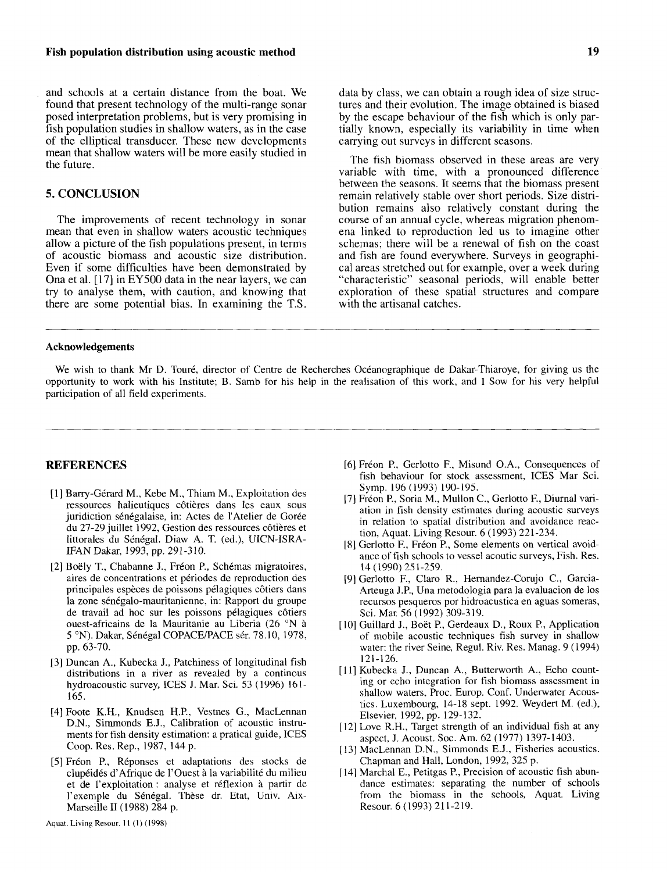and schools at a certain distance from the boat. We found that present technology of the multi-range sonar posed interpretation problems, but is very promising in fish population studies in shallow waters, as in the case of the elliptical transducer. These new developments mean that shallow waters will be more easily studied in the future.

### **5. CONCLUSION**

The improvements of recent technology in sonar mean that even in shallow waters acoustic techniques allow a picture of the fish populations present, in terms of acoustic biomass and acoustic size distribution. Even if some difficulties have been demonstrated by Ona et al. [17] in EY500 data in the near layers, we can try to analyse them, with caution, and knowing that there are some potential bias. In examining the T.S.

data by class, we can obtain a rough idea of size structures and their evolution. The image obtained is biased by the escape behaviour of the fish which is only partially known, especially its variability in time when carrying out surveys in different seasons.

The fish biomass observed in these areas are very variable with time, with a pronounced difference between the seasons. It seems that the biomass present remain relatively stable over short periods. Size distribution remains also relatively constant during the course of an annual cycle, whereas migration phenomena linked to reproduction led us to imagine other schemas; there will be a renewal of fish on the coast and fish are found everywhere. Surveys in geographical areas stretched out for example, over a week during "characteristic" seasonal periods, will enable better exploration of these spatial structures and compare with the artisanal catches.

### **Acknowledgements**

We wish to thank Mr D. Touré, director of Centre de Recherches Océanographique de Dakar-Thiaroye, for giving us the opportunity to work with his Institute; B. Samb for his help in the realisation of this work, and I Sow for his very helpful participation of all field experiments.

#### **REFERENCES**

- [1] Barry-Gérard M., Kebe M., Thiam M., Exploitation des ressources halieutiques côtières dans les eaux sous juridiction sénégalaise, in: Actes de l'Atelier de Gorée du 27-29 juillet 1992, Gestion des ressources côtières et littorales du Sénégal. Diaw A. T. (ed.), UICN-ISRA-IFAN Dakar, 1993, pp. 291-310.
- [2] Boëly T., Chabanne J., Fréon P., Schémas migratoires, aires de concentrations et périodes de reproduction des principales espèces de poissons pélagiques côtiers dans la zone sénégalo-mauritanienne, in: Rapport du groupe de travail ad hoc sur les poissons pélagiques côtiers ouest-africains de la Mauritanie au Liberia (26 °N à 5 °N). Dakar, Sénégal COPACE/PACE sér. 78.10, 1978, pp. 63-70.
- [3] Duncan A., Kubecka J., Patchiness of longitudinal fish distributions in a river as revealed by a continous hydroacoustic survey, ICES J. Mar. Sci. 53 (1996) 161- 165.
- [4] Foote K.H., Knudsen H.P., Vestnes G., MacLennan D.N., Simmonds E.J., Calibration of acoustic instruments for fish density estimation: a praticai guide, ICES Coop. Res. Rep., 1987, 144 p.
- [5] Fréon P., Réponses et adaptations des stocks de clupéidés d'Afrique de l'Ouest à la variabilité du milieu et de l'exploitation : analyse et réflexion à partir de l'exemple du Sénégal. Thèse dr. Etat, Univ. Aix-Marseille II (1988) 284 p.
- [6] Fréon R, Gerlotto F., Misund O.A., Consequences of fish behaviour for stock assessment, ICES Mar Sci. Symp. 196 (1993) 190-195.
- [7] Fréon P, Soria M., Mullon C., Gerlotto R, Diurnal variation in fish density estimates during acoustic surveys in relation to spatial distribution and avoidance reaction, Aquat. Living Resour. 6 (1993) 221-234.
- [8] Gerlotto F., Fréon P, Some elements on vertical avoidance of fish schools to vessel acoutic surveys, Fish. Res. 14(1990) 251-259.
- [9] Gerlotto F., Claro R., Hemandez-Corujo C., Garcia-Arteuga J.P., Una metodologia para la evaluacion de los recursos pesqueros por hidroacustica en aguas someras, Sci. Mar. 56 (1992) 309-319.
- [10] Guillard J., Boët P, Gerdeaux D., Roux R, Application of mobile acoustic techniques fish survey in shallow water: the river Seine, Regul. Riv. Res. Manag. 9 (1994) 121-126.
- [11] Kubecka J., Duncan A., Butterworth A., Echo counting or echo integration for fish biomass assessment in shallow waters, Proc. Europ. Conf. Underwater Acoustics. Luxembourg, 14-18 sept. 1992. Weydert M. (ed.), Elsevier, 1992, pp. 129-132.
- [12] Love R.H., Target strength of an individual fish at any aspect, J. Acoust. Soc. Am. 62 (1977) 1397-1403.
- [13] MacLennan D.N., Simmonds E.J., Fisheries acoustics. Chapman and Hall, London, 1992, 325 p.
- [14] Marchai E., Petitgas P, Precision of acoustic fish abundance estimates: separating the number of schools from the biomass in the schools, Aquat. Living Resour. 6 (1993) 211-219.